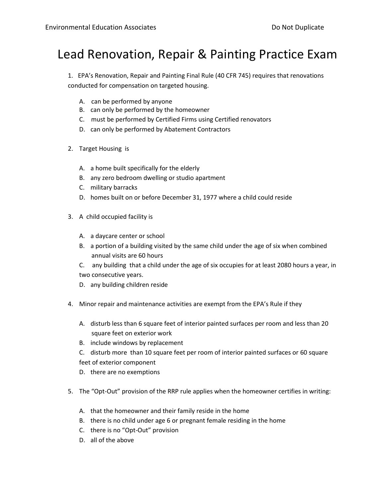## Lead Renovation, Repair & Painting Practice Exam

1. EPA's Renovation, Repair and Painting Final Rule (40 CFR 745) requires that renovations conducted for compensation on targeted housing.

- A. can be performed by anyone
- B. can only be performed by the homeowner
- C. must be performed by Certified Firms using Certified renovators
- D. can only be performed by Abatement Contractors
- 2. Target Housing is
	- A. a home built specifically for the elderly
	- B. any zero bedroom dwelling or studio apartment
	- C. military barracks
	- D. homes built on or before December 31, 1977 where a child could reside
- 3. A child occupied facility is
	- A. a daycare center or school
	- B. a portion of a building visited by the same child under the age of six when combined annual visits are 60 hours
	- C. any building that a child under the age of six occupies for at least 2080 hours a year, in two consecutive years.
	- D. any building children reside
- 4. Minor repair and maintenance activities are exempt from the EPA's Rule if they
	- A. disturb less than 6 square feet of interior painted surfaces per room and less than 20 square feet on exterior work
	- B. include windows by replacement
	- C. disturb more than 10 square feet per room of interior painted surfaces or 60 square feet of exterior component
	- D. there are no exemptions
- 5. The "Opt-Out" provision of the RRP rule applies when the homeowner certifies in writing:
	- A. that the homeowner and their family reside in the home
	- B. there is no child under age 6 or pregnant female residing in the home
	- C. there is no "Opt-Out" provision
	- D. all of the above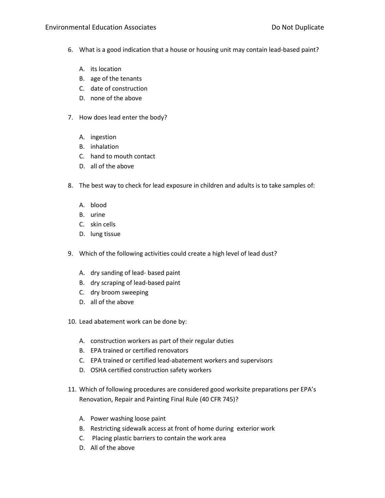## Environmental Education Associates **Environmental Education Associates** Do Not Duplicate

- 6. What is a good indication that a house or housing unit may contain lead-based paint?
	- A. its location
	- B. age of the tenants
	- C. date of construction
	- D. none of the above
- 7. How does lead enter the body?
	- A. ingestion
	- B. inhalation
	- C. hand to mouth contact
	- D. all of the above
- 8. The best way to check for lead exposure in children and adults is to take samples of:
	- A. blood
	- B. urine
	- C. skin cells
	- D. lung tissue
- 9. Which of the following activities could create a high level of lead dust?
	- A. dry sanding of lead- based paint
	- B. dry scraping of lead-based paint
	- C. dry broom sweeping
	- D. all of the above
- 10. Lead abatement work can be done by:
	- A. construction workers as part of their regular duties
	- B. EPA trained or certified renovators
	- C. EPA trained or certified lead-abatement workers and supervisors
	- D. OSHA certified construction safety workers
- 11. Which of following procedures are considered good worksite preparations per EPA's Renovation, Repair and Painting Final Rule (40 CFR 745)?
	- A. Power washing loose paint
	- B. Restricting sidewalk access at front of home during exterior work
	- C. Placing plastic barriers to contain the work area
	- D. All of the above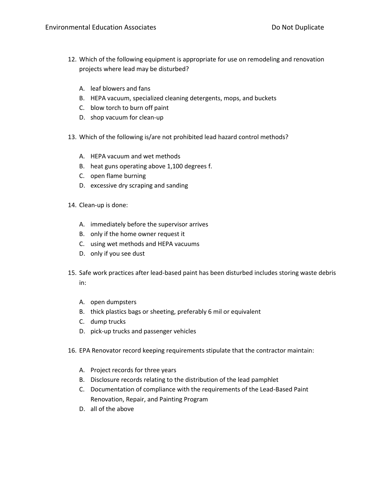- 12. Which of the following equipment is appropriate for use on remodeling and renovation projects where lead may be disturbed?
	- A. leaf blowers and fans
	- B. HEPA vacuum, specialized cleaning detergents, mops, and buckets
	- C. blow torch to burn off paint
	- D. shop vacuum for clean-up
- 13. Which of the following is/are not prohibited lead hazard control methods?
	- A. HEPA vacuum and wet methods
	- B. heat guns operating above 1,100 degrees f.
	- C. open flame burning
	- D. excessive dry scraping and sanding
- 14. Clean-up is done:
	- A. immediately before the supervisor arrives
	- B. only if the home owner request it
	- C. using wet methods and HEPA vacuums
	- D. only if you see dust
- 15. Safe work practices after lead-based paint has been disturbed includes storing waste debris in:
	- A. open dumpsters
	- B. thick plastics bags or sheeting, preferably 6 mil or equivalent
	- C. dump trucks
	- D. pick-up trucks and passenger vehicles
- 16. EPA Renovator record keeping requirements stipulate that the contractor maintain:
	- A. Project records for three years
	- B. Disclosure records relating to the distribution of the lead pamphlet
	- C. Documentation of compliance with the requirements of the Lead-Based Paint Renovation, Repair, and Painting Program
	- D. all of the above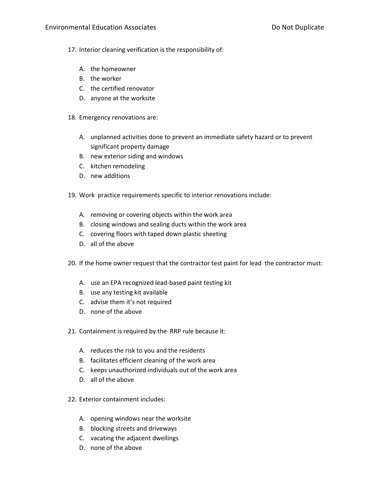- 17. Interior cleaning verification is the responsibility of:
	- A. the homeowner
	- B. the worker
	- C. the certified renovator
	- D. anyone at the worksite
- 18. Emergency renovations are:
	- A. unplanned activities done to prevent an immediate safety hazard or to prevent significant property damage
	- B. new exterior siding and windows
	- C. kitchen remodeling
	- D. new additions
- 19. Work practice requirements specific to interior renovations include:
	- A. removing or covering objects within the work area
	- B. closing windows and sealing ducts within the work area
	- C. covering floors with taped down plastic sheeting
	- D. all of the above

20. If the home owner request that the contractor test paint for lead the contractor must:

- A. use an EPA recognized lead-based paint testing kit
- B. use any testing kit available
- C. advise them it's not required
- D. none of the above
- 21. Containment is required by the RRP rule because it:
	- A. reduces the risk to you and the residents
	- B. facilitates efficient cleaning of the work area
	- C. keeps unauthorized individuals out of the work area
	- D. all of the above
- 22. Exterior containment includes:
	- A. opening windows near the worksite
	- B. blocking streets and driveways
	- C. vacating the adjacent dwellings
	- D. none of the above